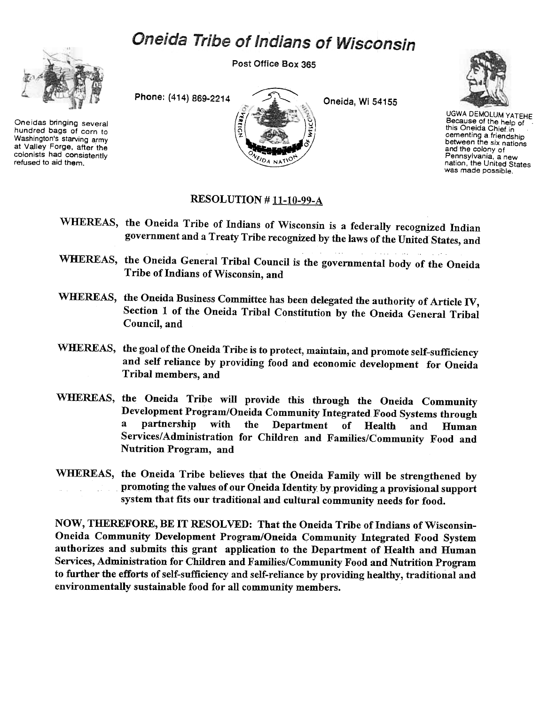## Oneida Tribe of Indians of Wisconsin



Oneidas bringing several hundred bags of corn to Washington's starving army at Valley Forge. after the colonists had consistently refused to aid them.

Post Office Box 365



UGWA DEMOLUM YATEHE Because of the help of this Oneida Chief in cementing a friendship between the six nations and the colony of Pennsylvania. a new nation, the United States was made possible.

## RESOLUTION # 11-10-99-A

- WHEREAS, the Oneida Tribe of Indians of Wisconsin is a federally recognized Indian government and a Treaty Tribe recognized by the laws of the United States, and
- WHEREAS, the Oneida General Tribal Council is the governmental body of the Oneida Tribe of Indians of Wisconsin, and
- WHEREAS, the Oneida Business Committee has been delegated the authority of Article IV, Section 1 of the Oneida Tribal Constitution by the Oneida General Tribal Council, and
- WHEREAS, the goal of the Oneida Tribe is to protect, maintain, and promote self-sufficiency and self reliance by providing food and economic development for Oneida Tribal members, and
- WHEREAS, the Oneida Tribe will provide this through the Oneida Community Development Program/Oneida Community Integrated Food Systems through a partnership with the Department of Health and Human Services/Administration for Children and Families/Community Food and Nutrition Program, and
- WHEREAS, the Oneida Tribe believes that the Oneida Family will be strengthened by promoting the values of our Oneida Identity by providing a provisional support system that fits our traditional and cultural community needs for food.

NOW, THEREFORE, BE IT RESOLVED: That the Oneida Tribe of Indians of Wisconsin-Oneida Community Development Program/Oneida Community Integrated Food System authorizes and submits this grant application to the Department of Health and Human Services, Administration for Children and Families/Community Food and Nutrition Program to further the efforts of self-sufficiency and self-reliance by providing healthy, traditional and environmentally sustainable food for all community members.